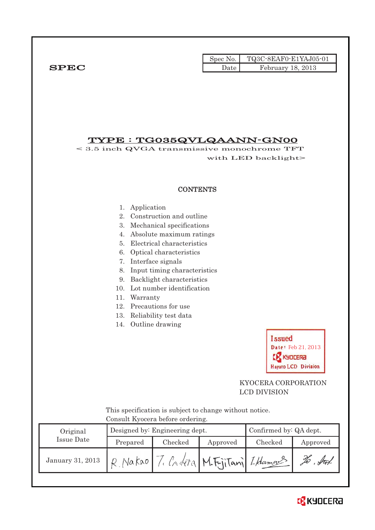|              |      | Spec No. $\vert$ TQ3C-8EAF0-E1YAJ05-01 |
|--------------|------|----------------------------------------|
| ${\bf SPEC}$ | Date | February 18, 2013                      |

### TYPE : TG035QVLQAANN-GN00

< 3.5 inch QVGA transmissive monochrome TFT with LED backlight>

#### **CONTENTS**

- 1. Application
- 2. Construction and outline
- 3. Mechanical specifications
- 4. Absolute maximum ratings
- 5. Electrical characteristics
- 6. Optical characteristics
- 7. Interface signals
- 8. Input timing characteristics
- 9. Backlight characteristics
- 10. Lot number identification
- 11. Warranty
- 12. Precautions for use
- 13. Reliability test data
- 14. Outline drawing



### KYOCERA CORPORATION LCD DIVISION

 This specification is subject to change without notice. Consult Kyocera before ordering.

| Original         |          | Designed by: Engineering dept. | Confirmed by: QA dept. |                           |            |
|------------------|----------|--------------------------------|------------------------|---------------------------|------------|
| Issue Date       | Prepared | Checked                        | Approved               | Checked                   | Approved   |
| January 31, 2013 | Vakao    |                                |                        | Critéra M.FriTani LHamans | $\sqrt{4}$ |

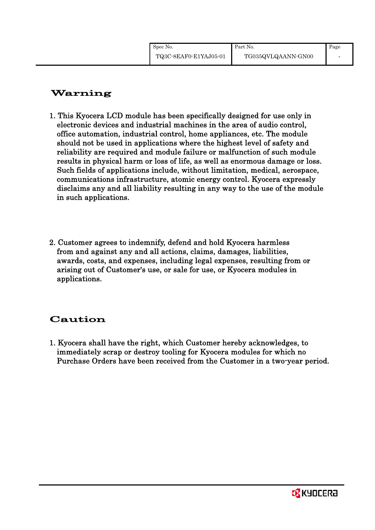# Warning

- 1. This Kyocera LCD module has been specifically designed for use only in electronic devices and industrial machines in the area of audio control, office automation, industrial control, home appliances, etc. The module should not be used in applications where the highest level of safety and reliability are required and module failure or malfunction of such module results in physical harm or loss of life, as well as enormous damage or loss. Such fields of applications include, without limitation, medical, aerospace, communications infrastructure, atomic energy control. Kyocera expressly disclaims any and all liability resulting in any way to the use of the module in such applications.
- 2. Customer agrees to indemnify, defend and hold Kyocera harmless from and against any and all actions, claims, damages, liabilities, awards, costs, and expenses, including legal expenses, resulting from or arising out of Customer's use, or sale for use, or Kyocera modules in applications.

# Caution

1. Kyocera shall have the right, which Customer hereby acknowledges, to immediately scrap or destroy tooling for Kyocera modules for which no Purchase Orders have been received from the Customer in a two-year period.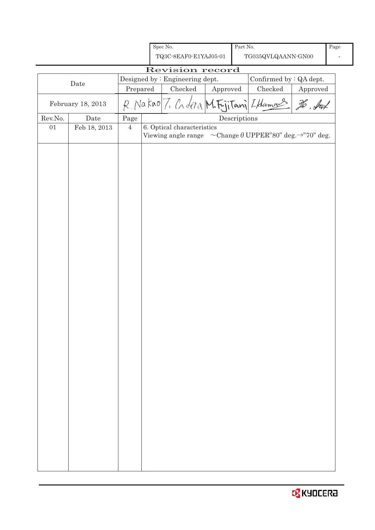|         |                   |                | Spec No.                                                                                                        |          | Part No.     |                         |          | Page |
|---------|-------------------|----------------|-----------------------------------------------------------------------------------------------------------------|----------|--------------|-------------------------|----------|------|
|         |                   |                | TQ3C-8EAF0-E1YAJ05-01                                                                                           |          |              | TG035QVLQAANN-GN00      |          |      |
|         |                   |                | Revision record                                                                                                 |          |              |                         |          |      |
|         | Date              |                | Designed by : Engineering dept.                                                                                 |          |              | Confirmed by : QA dept. |          |      |
|         |                   | Prepared       | Checked                                                                                                         | Approved |              | Checked                 | Approved |      |
|         | February 18, 2013 |                | R. Nakao 7. Cr. deta M. Fujitani I Hamas                                                                        |          |              |                         | To . Jul |      |
| Rev.No. | Date              | Page           |                                                                                                                 |          | Descriptions |                         |          |      |
| 01      | Feb 18, 2013      | $\overline{4}$ | 6. Optical characteristics<br>Viewing angle range $\sim$ Change $\theta$ UPPER"80" deg. $\rightarrow$ "70" deg. |          |              |                         |          |      |
|         |                   |                |                                                                                                                 |          |              |                         |          |      |
|         |                   |                |                                                                                                                 |          |              |                         |          |      |
|         |                   |                |                                                                                                                 |          |              |                         |          |      |
|         |                   |                |                                                                                                                 |          |              |                         |          |      |
|         |                   |                |                                                                                                                 |          |              |                         |          |      |
|         |                   |                |                                                                                                                 |          |              |                         |          |      |
|         |                   |                |                                                                                                                 |          |              |                         |          |      |
|         |                   |                |                                                                                                                 |          |              |                         |          |      |
|         |                   |                |                                                                                                                 |          |              |                         |          |      |
|         |                   |                |                                                                                                                 |          |              |                         |          |      |
|         |                   |                |                                                                                                                 |          |              |                         |          |      |
|         |                   |                |                                                                                                                 |          |              |                         |          |      |
|         |                   |                |                                                                                                                 |          |              |                         |          |      |
|         |                   |                |                                                                                                                 |          |              |                         |          |      |
|         |                   |                |                                                                                                                 |          |              |                         |          |      |
|         |                   |                |                                                                                                                 |          |              |                         |          |      |
|         |                   |                |                                                                                                                 |          |              |                         |          |      |
|         |                   |                |                                                                                                                 |          |              |                         |          |      |
|         |                   |                |                                                                                                                 |          |              |                         |          |      |
|         |                   |                |                                                                                                                 |          |              |                         |          |      |
|         |                   |                |                                                                                                                 |          |              |                         |          |      |

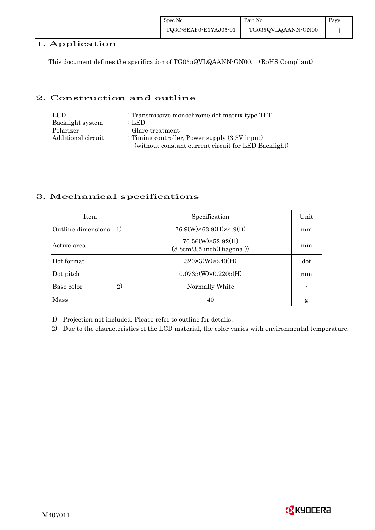| Spec No.              | <b>Part No.</b>    | Page |
|-----------------------|--------------------|------|
| TQ3C-8EAF0-E1YAJ05-01 | TG035QVLQAANN-GN00 |      |

### 1. Application

This document defines the specification of TG035QVLQAANN-GN00. (RoHS Compliant)

#### 2. Construction and outline

| LCD.               | : Transmissive monochrome dot matrix type TFT        |
|--------------------|------------------------------------------------------|
| Backlight system   | : LED                                                |
| Polarizer          | $\therefore$ Glare treatment                         |
| Additional circuit | : Timing controller, Power supply $(3.3V)$ input)    |
|                    | (without constant current circuit for LED Backlight) |

#### 3. Mechanical specifications

| <b>Item</b>                | Specification                                         | Unit |
|----------------------------|-------------------------------------------------------|------|
| Outline dimensions<br>1)   | $76.9(W)\times 63.9(H)\times 4.9(D)$                  | mm   |
| Active area                | $70.56(W)\times52.92(H)$<br>(8.8cm/3.5inch(Diagonal)) | mm   |
| Dot format                 | $320\times3(W)\times240(H)$                           | dot  |
| Dot pitch                  | $0.0735(W)\times0.2205(H)$                            | mm   |
| Base color<br>$\mathbf{2}$ | Normally White                                        |      |
| <b>Mass</b>                | 40                                                    | g    |

1) Projection not included. Please refer to outline for details.

2) Due to the characteristics of the LCD material, the color varies with environmental temperature.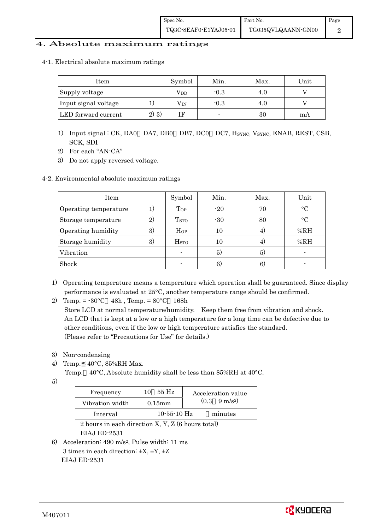#### 4. Absolute maximum ratings

4-1. Electrical absolute maximum ratings

| Item                 |         | Symbol       | Min.   | Max. | Unit |
|----------------------|---------|--------------|--------|------|------|
| Supply voltage       |         | $\rm V_{DD}$ | $-0.3$ | 4.U  |      |
| Input signal voltage |         | $\rm V_{IN}$ | $-0.3$ | 4.U  |      |
| LED forward current  | $2)$ 3) |              |        | 30   | m A  |

- 1) Input signal : CK, DA0 DA7, DB0 DB7, DC0 DC7, HSYNC, VSYNC, ENAB, REST, CSB, SCK, SDI
- 2) For each "AN-CA"
- 3) Do not apply reversed voltage.

#### 4-2. Environmental absolute maximum ratings

| Item                  |              | Symbol                   | Min.  | Max. | Unit      |
|-----------------------|--------------|--------------------------|-------|------|-----------|
| Operating temperature | 1)           | Top                      | $-20$ | 70   | $\circ$ C |
| Storage temperature   | $\mathbf{2}$ | T <sub>STO</sub>         | $-30$ | 80   | $\circ$ C |
| Operating humidity    | 3)           | $H_{OP}$                 | 10    | 4.   | %RH       |
| Storage humidity      | 3)           | $_{\mathrm{HSTO}}$       | 10    | 4)   | %RH       |
| Vibration             |              | $\overline{\phantom{0}}$ | 5)    | 5)   |           |
| Shock                 |              |                          | 6)    | 6)   |           |

- 1) Operating temperature means a temperature which operation shall be guaranteed. Since display performance is evaluated at 25°C, another temperature range should be confirmed.
- 2) Temp. =  $-30^{\circ}$ C 48h, Temp. =  $80^{\circ}$ C 168h

 Store LCD at normal temperature/humidity. Keep them free from vibration and shock. An LCD that is kept at a low or a high temperature for a long time can be defective due to other conditions, even if the low or high temperature satisfies the standard. (Please refer to "Precautions for Use" for details.)

- 3) Non-condensing
- 4) Temp. 40°C, 85%RH Max.
	- Temp. 40°C, Absolute humidity shall be less than 85%RH at 40°C.
- 5)

| Frequency       | 55 Hz<br>10       | Acceleration value            |
|-----------------|-------------------|-------------------------------|
| Vibration width | $0.15$ mm         | $(0.3 \quad 9 \text{ m/s}^2)$ |
| Interval        | $10 - 55 - 10$ Hz | minutes                       |

 2 hours in each direction X, Y, Z (6 hours total) EIAJ ED-2531

6) Acceleration: 490 m/s2, Pulse width: 11 ms 3 times in each direction:  $\pm X$ ,  $\pm Y$ ,  $\pm Z$ EIAJ ED-2531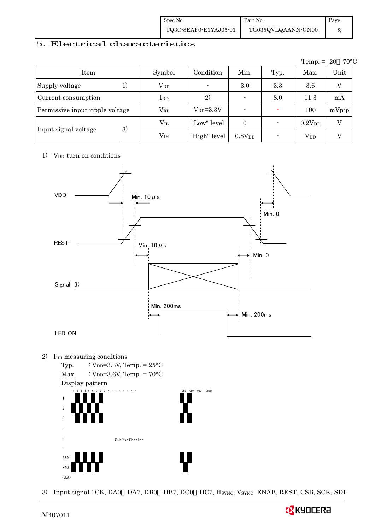| Spec No.              | Part No.           | Page |
|-----------------------|--------------------|------|
| TQ3C-8EAF0-E1YAJ05-01 | TG035QVLQAANN-GN00 |      |

#### 5. Electrical characteristics

|                                 |               |                    |                    |      | Temp. $= -20$ | $70^{\circ}\mathrm{C}$ |
|---------------------------------|---------------|--------------------|--------------------|------|---------------|------------------------|
| Item                            | Symbol        | Condition          | Min.               | Typ. | Max.          | Unit                   |
| Supply voltage                  | $V_{DD}$      |                    | 3.0                | 3.3  | $3.6\,$       | $\mathbf{V}$           |
| Current consumption             | $_{\rm{LDD}}$ | 2)                 | $\blacksquare$     | 8.0  | 11.3          | mA                     |
| Permissive input ripple voltage | $\rm V_{RP}$  | $V_{\rm DD}$ =3.3V | $\blacksquare$     |      | 100           | $mVp-p$                |
|                                 | $\rm V_{II}$  | "Low" level        | $\overline{0}$     |      | $0.2V_{DD}$   | V                      |
| 3)<br>Input signal voltage      | $\rm V_{IH}$  | "High" level       | 0.8V <sub>DD</sub> |      | $V_{DD}$      |                        |

#### 1) V<sub>DD</sub>-turn-on conditions



3) Input signal : CK, DA0 DA7, DB0 DB7, DC0 DC7, HSYNC, VSYNC, ENAB, REST, CSB, SCK, SDI

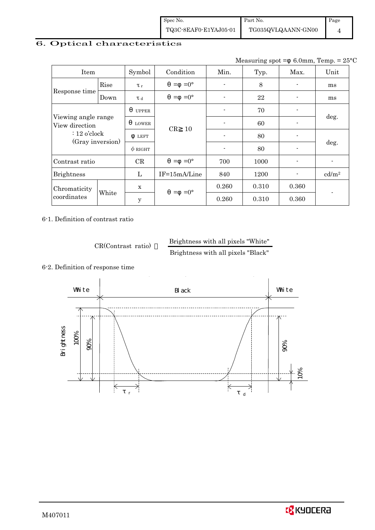| Spec No.              | Part No.           | Page |
|-----------------------|--------------------|------|
| TQ3C-8EAF0-E1YAJ05-01 | TG035QVLQAANN-GN00 |      |

### 6. Optical characteristics

Measuring spot =  $6.0$ mm, Temp. =  $25^{\circ}$ C

| Item                                                                        |       | Symbol       | Condition           | Min.                     | Typ.  | Max.  | Unit              |
|-----------------------------------------------------------------------------|-------|--------------|---------------------|--------------------------|-------|-------|-------------------|
| Response time                                                               | Rise  | $\tau_r$     | $=0^{\circ}$<br>$=$ | ٠                        | 8     |       | ms                |
|                                                                             | Down  | T d          | $=0^{\circ}$<br>$=$ |                          | 22    |       | ms                |
| Viewing angle range<br>View direction<br>$: 12$ o'clock<br>(Gray inversion) |       | <b>UPPER</b> |                     |                          | 70    |       |                   |
|                                                                             |       | LOWER        | CR<br>10            |                          | 60    |       | deg.              |
|                                                                             |       | <b>LEFT</b>  |                     |                          | 80    |       |                   |
|                                                                             |       | $\phi$ right |                     | $\overline{\phantom{a}}$ | 80    |       | deg.              |
| Contrast ratio                                                              |       | CR           | $=0^{\circ}$<br>$=$ | 700                      | 1000  |       | $\blacksquare$    |
| <b>Brightness</b>                                                           |       | L            | IF=15mA/Line        | 840                      | 1200  |       | cd/m <sup>2</sup> |
| Chromaticity<br>coordinates                                                 |       | X            | $=0^{\circ}$<br>$=$ | 0.260                    | 0.310 | 0.360 |                   |
|                                                                             | White | y            |                     | 0.260                    | 0.310 | 0.360 |                   |

6-1. Definition of contrast ratio

CR(Contrast ratio) Brightness with all pixels "White"

Brightness with all pixels "Black"



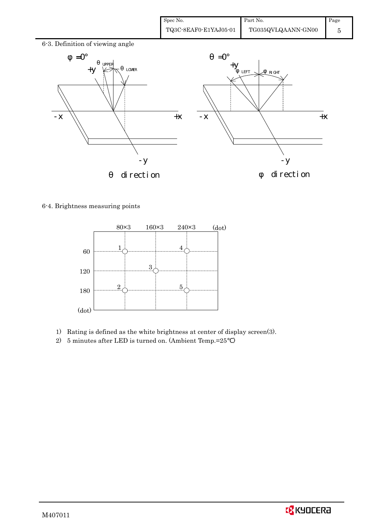| Spec No.              | Part No.           | Page |
|-----------------------|--------------------|------|
| TQ3C-8EAF0-E1YAJ05-01 | TG035QVLQAANN-GN00 |      |



6-4. Brightness measuring points



- 1) Rating is defined as the white brightness at center of display screen(3).
- 2) 5 minutes after LED is turned on. (Ambient Temp.=25 )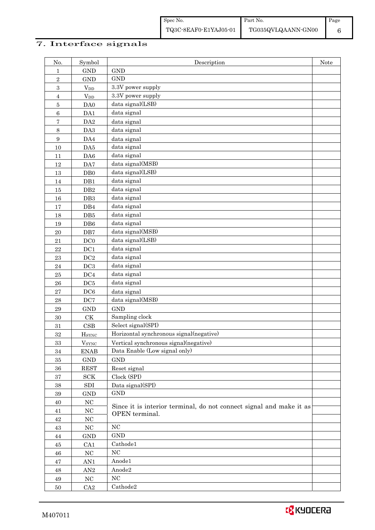### 7. Interface signals

| No.                     | Symbol                 | Description                                                                           | Note |
|-------------------------|------------------------|---------------------------------------------------------------------------------------|------|
| 1                       | <b>GND</b>             | <b>GND</b>                                                                            |      |
| $\overline{2}$          | <b>GND</b>             | <b>GND</b>                                                                            |      |
| 3                       | $V_{DD}$               | 3.3V power supply                                                                     |      |
| $\overline{\mathbf{4}}$ | $\rm V_{DD}$           | 3.3V power supply                                                                     |      |
| $\bf 5$                 | DA0                    | data signal(LSB)                                                                      |      |
| 6                       | DA1                    | data signal                                                                           |      |
| 7                       | DA <sub>2</sub>        | data signal                                                                           |      |
| 8                       | DA3                    | data signal                                                                           |      |
| $\boldsymbol{9}$        | DA4                    | data signal                                                                           |      |
| 10                      | DA5                    | data signal                                                                           |      |
| 11                      | DA6                    | data signal                                                                           |      |
| 12                      | DA7                    | data signal(MSB)                                                                      |      |
| 13                      | DB <sub>0</sub>        | data signal(LSB)                                                                      |      |
| 14                      | DB1                    | data signal                                                                           |      |
| 15                      | $\rm DB2$              | data signal                                                                           |      |
| 16                      | DB3                    | data signal                                                                           |      |
| 17                      | DB4                    | data signal                                                                           |      |
| 18                      | DB5                    | data signal                                                                           |      |
| 19                      | DB6                    | data signal                                                                           |      |
| 20                      | DB7                    | data signal(MSB)                                                                      |      |
| 21                      | DC0                    | data signal(LSB)                                                                      |      |
| 22                      | DC1                    | data signal                                                                           |      |
| 23                      | DC2                    | data signal                                                                           |      |
| 24                      | DC3                    | data signal                                                                           |      |
| 25                      | DC4                    | data signal                                                                           |      |
| 26                      | DC5                    | data signal                                                                           |      |
| 27                      | DC6                    | data signal                                                                           |      |
| 28                      | DC7                    | data signal(MSB)                                                                      |      |
| 29                      | <b>GND</b>             | <b>GND</b>                                                                            |      |
| 30                      | $\mathrm{C}\mathrm{K}$ | Sampling clock                                                                        |      |
| 31                      | <b>CSB</b>             | Select signal(SPI)                                                                    |      |
| 32                      | HSYNC                  | Horizontal synchronous signal(negative)                                               |      |
| $33\,$                  | $V_{\rm SYNC}$         | Vertical synchronous signal(negative)                                                 |      |
| $34\,$                  | <b>ENAB</b>            | Data Enable (Low signal only)                                                         |      |
| $35\,$                  | $\mathop{\rm GND}$     | <b>GND</b>                                                                            |      |
| $36\,$                  | <b>REST</b>            | Reset signal                                                                          |      |
| $\bf{37}$               | SCK                    | Clock (SPI)                                                                           |      |
| $38\,$                  | ${\rm SDI}$            | Data signal(SPI)                                                                      |      |
| $39\,$                  | GND                    | $\mathop{\rm GND}$                                                                    |      |
| $40\,$                  | $_{\mathrm{NC}}$       |                                                                                       |      |
| $41\,$                  | $_{\mathrm{NC}}$       | Since it is interior terminal, do not connect signal and make it as<br>OPEN terminal. |      |
| $42\,$                  | $_{\mathrm{NC}}$       |                                                                                       |      |
| 43                      | $_{\mathrm{NC}}$       | $_{\mathrm{NC}}$                                                                      |      |
| $\rm 44$                | GND                    | $\mathop{\rm GND}$                                                                    |      |
| 45                      | CA1                    | Cathode1                                                                              |      |
| 46                      | $_{\mathrm{NC}}$       | $_{\mathrm{NC}}$                                                                      |      |
| $47\,$                  | AN1                    | Anode1                                                                                |      |
| $\rm 48$                | $\mathbf{AN}2$         | Anode2                                                                                |      |
| 49                      | $_{\mathrm{NC}}$       | NC                                                                                    |      |
| $50\,$                  | CA2                    | Cathode2                                                                              |      |
|                         |                        |                                                                                       |      |

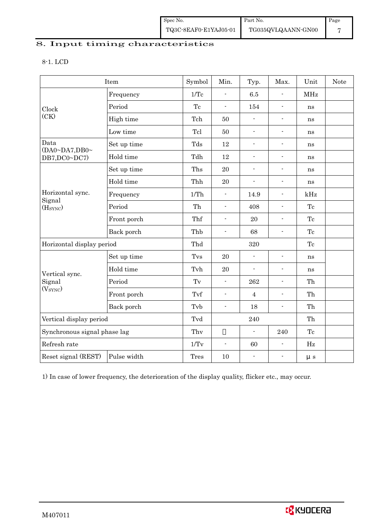| Spec No.              | Part No.           | Page |
|-----------------------|--------------------|------|
| TQ3C-8EAF0-E1YAJ05-01 | TG035QVLQAANN-GN00 |      |

### 8. Input timing characteristics

#### 8-1. LCD

|                                | Item        | Symbol | Min.                                                                                                                                                                                                                                                                                                                                                                                                                                                                                                                                                                                                                                                                                                                                                                                              | Typ. | Max.           | Unit       | <b>Note</b> |
|--------------------------------|-------------|--------|---------------------------------------------------------------------------------------------------------------------------------------------------------------------------------------------------------------------------------------------------------------------------------------------------------------------------------------------------------------------------------------------------------------------------------------------------------------------------------------------------------------------------------------------------------------------------------------------------------------------------------------------------------------------------------------------------------------------------------------------------------------------------------------------------|------|----------------|------------|-------------|
|                                | Frequency   | 1/Tc   | $\overline{a}$                                                                                                                                                                                                                                                                                                                                                                                                                                                                                                                                                                                                                                                                                                                                                                                    | 6.5  | $\overline{a}$ | <b>MHz</b> |             |
| Clock                          | Period      | Tc     | $\blacksquare$                                                                                                                                                                                                                                                                                                                                                                                                                                                                                                                                                                                                                                                                                                                                                                                    | 154  | ۰              | ns         |             |
| (CK)                           | High time   | Tch    | 50<br>$\frac{1}{2}$<br>$\overline{\phantom{a}}$<br>50<br>$\blacksquare$<br>$\overline{\phantom{a}}$<br>12<br>$\frac{1}{2}$<br>$\overline{\phantom{a}}$<br>12<br>$\overline{a}$<br>۰<br>20<br>$\blacksquare$<br>۰<br>20<br>$\frac{1}{2}$<br>$\overline{\phantom{a}}$<br>$\overline{\phantom{a}}$<br>14.9<br>÷.<br>408<br>$\overline{a}$<br>$\overline{\phantom{a}}$<br>20<br>$\frac{1}{2}$<br>$\overline{a}$<br>68<br>$\blacksquare$<br>$\overline{\phantom{a}}$<br>320<br>20<br>÷.<br>$\overline{a}$<br>20<br>$\blacksquare$<br>$\overline{\phantom{a}}$<br>262<br>$\overline{\phantom{a}}$<br>$\blacksquare$<br>$\overline{4}$<br>$\overline{a}$<br>18<br>$\frac{1}{2}$<br>$\overline{\phantom{0}}$<br>240<br>$\frac{1}{2}$<br>240<br>60<br>$\overline{\phantom{a}}$<br>$\frac{1}{2}$<br>10<br>۰ | ns   |                |            |             |
|                                | Low time    | Tcl    |                                                                                                                                                                                                                                                                                                                                                                                                                                                                                                                                                                                                                                                                                                                                                                                                   |      |                | ns         |             |
| Data<br>(DA0~DA7, DB0~         | Set up time | Tds    |                                                                                                                                                                                                                                                                                                                                                                                                                                                                                                                                                                                                                                                                                                                                                                                                   |      |                | ns         |             |
| DB7,DC0~DC7)                   | Hold time   | Tdh    |                                                                                                                                                                                                                                                                                                                                                                                                                                                                                                                                                                                                                                                                                                                                                                                                   |      |                | ns         |             |
|                                | Set up time | Ths    |                                                                                                                                                                                                                                                                                                                                                                                                                                                                                                                                                                                                                                                                                                                                                                                                   |      |                | ns         |             |
|                                | Hold time   | Thh    |                                                                                                                                                                                                                                                                                                                                                                                                                                                                                                                                                                                                                                                                                                                                                                                                   |      |                | ns         |             |
| Horizontal sync.               | Frequency   | 1/Th   |                                                                                                                                                                                                                                                                                                                                                                                                                                                                                                                                                                                                                                                                                                                                                                                                   |      |                | kHz        |             |
| Signal<br>(H <sub>SYNC</sub> ) | Period      | Th     |                                                                                                                                                                                                                                                                                                                                                                                                                                                                                                                                                                                                                                                                                                                                                                                                   |      |                | Tc         |             |
|                                | Front porch | Thf    |                                                                                                                                                                                                                                                                                                                                                                                                                                                                                                                                                                                                                                                                                                                                                                                                   |      |                | Tc         |             |
|                                | Back porch  | Thb    |                                                                                                                                                                                                                                                                                                                                                                                                                                                                                                                                                                                                                                                                                                                                                                                                   |      |                | Tc         |             |
| Horizontal display period      |             | Thd    |                                                                                                                                                                                                                                                                                                                                                                                                                                                                                                                                                                                                                                                                                                                                                                                                   |      |                | Tc         |             |
|                                | Set up time | Tvs    |                                                                                                                                                                                                                                                                                                                                                                                                                                                                                                                                                                                                                                                                                                                                                                                                   |      |                | ns         |             |
| Vertical sync.                 | Hold time   | Tvh    |                                                                                                                                                                                                                                                                                                                                                                                                                                                                                                                                                                                                                                                                                                                                                                                                   |      |                | ns         |             |
| Signal                         | Period      | Tv     |                                                                                                                                                                                                                                                                                                                                                                                                                                                                                                                                                                                                                                                                                                                                                                                                   |      |                | Th         |             |
| (V <sub>SYNC</sub> )           | Front porch | Tvf    |                                                                                                                                                                                                                                                                                                                                                                                                                                                                                                                                                                                                                                                                                                                                                                                                   |      |                | Th         |             |
|                                | Back porch  | Tvb    |                                                                                                                                                                                                                                                                                                                                                                                                                                                                                                                                                                                                                                                                                                                                                                                                   |      |                | Th         |             |
| Vertical display period        |             | Tvd    |                                                                                                                                                                                                                                                                                                                                                                                                                                                                                                                                                                                                                                                                                                                                                                                                   |      |                | Th         |             |
| Synchronous signal phase lag   |             | Thy    |                                                                                                                                                                                                                                                                                                                                                                                                                                                                                                                                                                                                                                                                                                                                                                                                   |      |                | Tc         |             |
| Refresh rate                   |             | 1/Tv   |                                                                                                                                                                                                                                                                                                                                                                                                                                                                                                                                                                                                                                                                                                                                                                                                   |      |                | $\rm Hz$   |             |
| Reset signal (REST)            | Pulse width | Tres   |                                                                                                                                                                                                                                                                                                                                                                                                                                                                                                                                                                                                                                                                                                                                                                                                   |      |                | $\mu$ s    |             |

1) In case of lower frequency, the deterioration of the display quality, flicker etc., may occur.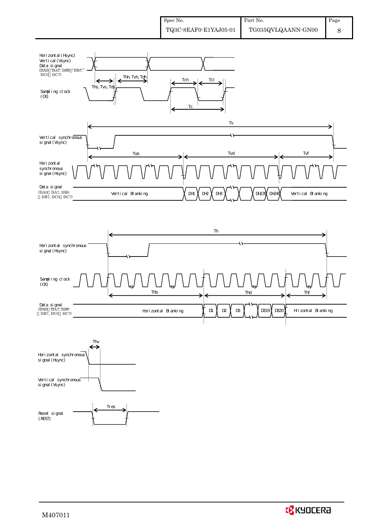





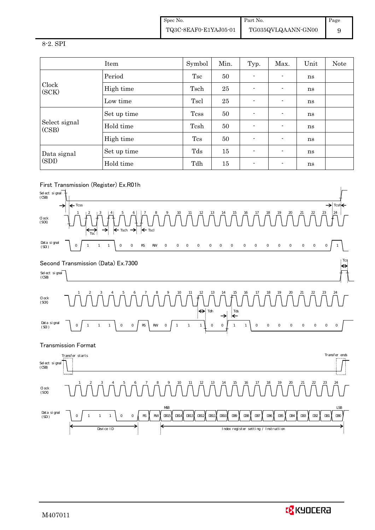Spec No. TQ3C-8EAF0-E1YAJ05-01 Part No. TG035QVLQAANN-GN00 Page 9

#### 8-2. SPI

|                        | Item        | Symbol                                                                                                                                  | Min. | Typ.                     | Max.                     | Unit | Note |
|------------------------|-------------|-----------------------------------------------------------------------------------------------------------------------------------------|------|--------------------------|--------------------------|------|------|
| Clock<br>(SCK)         | Period      | Tsc                                                                                                                                     | 50   |                          |                          | ns   |      |
|                        | High time   | Tsch                                                                                                                                    | 25   | $\overline{\phantom{0}}$ | ٠                        | ns   |      |
|                        | Low time    | Tscl<br>25<br>$\blacksquare$<br>$\overline{\phantom{a}}$<br>ns<br><b>Tcss</b><br>50<br>$\blacksquare$<br>$\overline{\phantom{a}}$<br>ns |      |                          |                          |      |      |
|                        | Set up time |                                                                                                                                         |      |                          |                          |      |      |
| Select signal<br>(CSB) | Hold time   | Tcsh                                                                                                                                    | 50   |                          | $\overline{\phantom{a}}$ | ns   |      |
|                        | High time   | Tcs                                                                                                                                     | 50   | $\blacksquare$           |                          | ns   |      |
| Data signal            | Set up time | Tds                                                                                                                                     | 15   | $\blacksquare$           |                          | ns   |      |
| (SDI)                  | Hold time   | Tdh                                                                                                                                     | 15   | $\blacksquare$           | $\blacksquare$           | ns   |      |

### First Transmission (Register) Ex.R01h



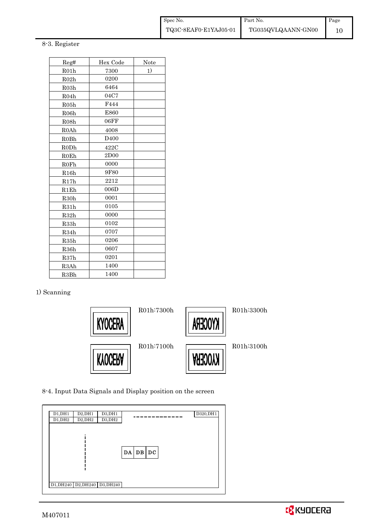#### 8-3. Register

| Reg#              | Hex Code         | Note |
|-------------------|------------------|------|
| R01h              | 7300             | 1)   |
| R02h              | 0200             |      |
| R03h              | 6464             |      |
| R04h              | 04C7             |      |
| R05h              | F444             |      |
| R <sub>06</sub> h | E860             |      |
| R <sub>08</sub> h | 06FF             |      |
| <b>R0Ah</b>       | 4008             |      |
| <b>R0Bh</b>       | D <sub>400</sub> |      |
| RODh              | 422C             |      |
| ROEh              | 2D00             |      |
| <b>R0Fh</b>       | 0000             |      |
| R16h              | 9F80             |      |
| R17h              | 2212             |      |
| R1Eh              | 006D             |      |
| R <sub>30</sub> h | 0001             |      |
| R31h              | 0105             |      |
| R32h              | 0000             |      |
| R33h              | 0102             |      |
| R34h              | 0707             |      |
| R35h              | 0206             |      |
| R <sub>36</sub> h | 0607             |      |
| R37h              | 0201             |      |
| R3Ah              | 1400             |      |
| R3Bh              | 1400             |      |

#### 1) Scanning



8-4. Input Data Signals and Display position on the screen

| D1, DH1 | D2, DH1                       | D3, DH1 | D320, DH1 |
|---------|-------------------------------|---------|-----------|
| D1, DH2 | D2, DH2                       | D3, DH2 |           |
|         | D1, DH240 D2, DH240 D3, DH240 |         | DA DB DC  |

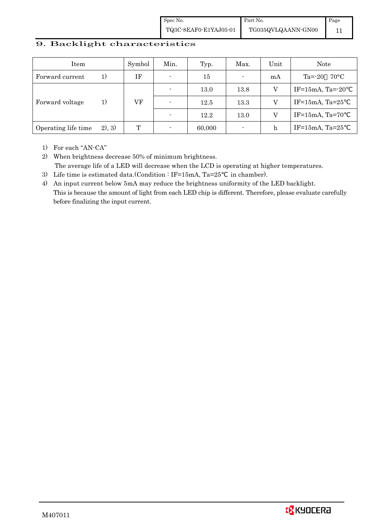Spec No. TQ3C-8EAF0-E1YAJ05-01 Part No. TG035QVLQAANN-GN00 Page 11

#### 9. Backlight characteristics

| Item                |         | Symbol | Min.                     | Typ.   | Max.           | Unit | Note                     |
|---------------------|---------|--------|--------------------------|--------|----------------|------|--------------------------|
| Forward current     | 1)      | ΙF     | $\overline{\phantom{0}}$ | 15     | $\blacksquare$ | mA   | $70^{\circ}$ C<br>Ta=-20 |
|                     | 1)      |        |                          | 13.0   | 13.8           | V    | IF=15mA, Ta= $-20$       |
| Forward voltage     |         | VF     | $\overline{\phantom{0}}$ | 12.5   | 13.3           |      | IF=15mA, Ta= $25$        |
|                     |         |        |                          | 12.2   | 13.0           | V    | $IF=15mA$ , Ta=70        |
| Operating life time | (2), 3) | T      | $\overline{\phantom{0}}$ | 60,000 | ٠              | h    | IF= $15mA$ , Ta= $25$    |

1) For each "AN-CA"

2) When brightness decrease 50% of minimum brightness. The average life of a LED will decrease when the LCD is operating at higher temperatures.

- 3) Life time is estimated data.(Condition : IF=15mA, Ta=25 in chamber).
- 4) An input current below 5mA may reduce the brightness uniformity of the LED backlight. This is because the amount of light from each LED chip is different. Therefore, please evaluate carefully before finalizing the input current.

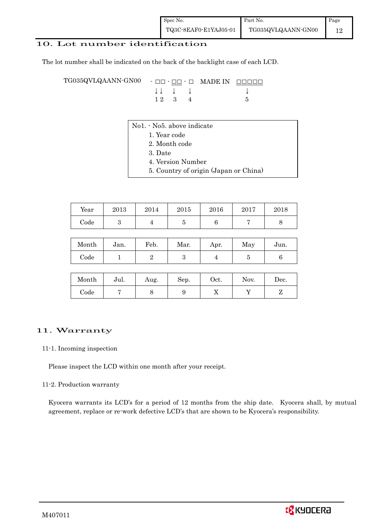### 10. Lot number identification

The lot number shall be indicated on the back of the backlight case of each LCD.

TG035QVLQAANN-GN00 - □□ - □□ - □ MADE IN □□□□□ ↓ ↓ ↓ ↓ ↓  $12 \quad 3 \quad 4$  5

- No1. No5. above indicate
	- 1. Year code
		- 2. Month code
		- 3. Date
		- 4. Version Number
		- 5. Country of origin (Japan or China)

| Year | 2013 | 2014 | 2015 | 2016 | 2017 | 2018 |
|------|------|------|------|------|------|------|
| Code |      |      |      |      |      |      |

| Month | Jan. | Feb. | Mar. | Apr. | May | Jun. |
|-------|------|------|------|------|-----|------|
| Code  |      |      |      |      |     |      |

| Month      | Jul. | Aug. | Sep. | Oct. | Nov. | $\operatorname{Dec.}$ |
|------------|------|------|------|------|------|-----------------------|
| $\rm Code$ |      |      |      | ∡⊾   |      |                       |

#### 11. Warranty

#### 11-1. Incoming inspection

Please inspect the LCD within one month after your receipt.

#### 11-2. Production warranty

 Kyocera warrants its LCD's for a period of 12 months from the ship date. Kyocera shall, by mutual agreement, replace or re-work defective LCD's that are shown to be Kyocera's responsibility.

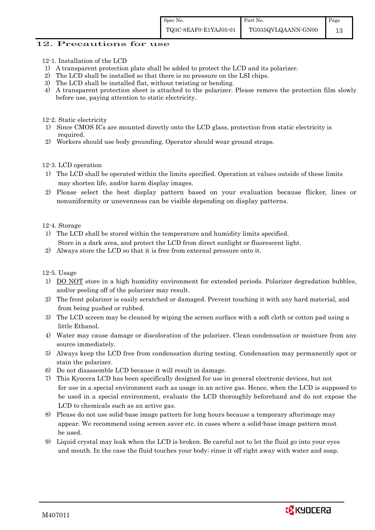#### 12. Precautions for use

- 12-1. Installation of the LCD
- 1) A transparent protection plate shall be added to protect the LCD and its polarizer.
- 2) The LCD shall be installed so that there is no pressure on the LSI chips.
- 3) The LCD shall be installed flat, without twisting or bending.
- 4) A transparent protection sheet is attached to the polarizer. Please remove the protection film slowly before use, paying attention to static electricity.

12-2. Static electricity

- 1) Since CMOS ICs are mounted directly onto the LCD glass, protection from static electricity is required.
- 2) Workers should use body grounding. Operator should wear ground straps.

12-3. LCD operation

- 1) The LCD shall be operated within the limits specified. Operation at values outside of these limits may shorten life, and/or harm display images.
- 2) Please select the best display pattern based on your evaluation because flicker, lines or nonuniformity or unevenness can be visible depending on display patterns.

12-4. Storage

- 1) The LCD shall be stored within the temperature and humidity limits specified. Store in a dark area, and protect the LCD from direct sunlight or fluorescent light.
- 2) Always store the LCD so that it is free from external pressure onto it.

12-5. Usage

- 1) DO NOT store in a high humidity environment for extended periods. Polarizer degradation bubbles, and/or peeling off of the polarizer may result.
- 2) The front polarizer is easily scratched or damaged. Prevent touching it with any hard material, and from being pushed or rubbed.
- 3) The LCD screen may be cleaned by wiping the screen surface with a soft cloth or cotton pad using a little Ethanol.
- 4) Water may cause damage or discoloration of the polarizer. Clean condensation or moisture from any source immediately.
- 5) Always keep the LCD free from condensation during testing. Condensation may permanently spot or stain the polarizer.
- 6) Do not disassemble LCD because it will result in damage.
- 7) This Kyocera LCD has been specifically designed for use in general electronic devices, but not for use in a special environment such as usage in an active gas. Hence, when the LCD is supposed to be used in a special environment, evaluate the LCD thoroughly beforehand and do not expose the LCD to chemicals such as an active gas.
- 8) Please do not use solid-base image pattern for long hours because a temporary afterimage may appear. We recommend using screen saver etc. in cases where a solid-base image pattern must be used.
- 9) Liquid crystal may leak when the LCD is broken. Be careful not to let the fluid go into your eyes and mouth. In the case the fluid touches your body; rinse it off right away with water and soap.

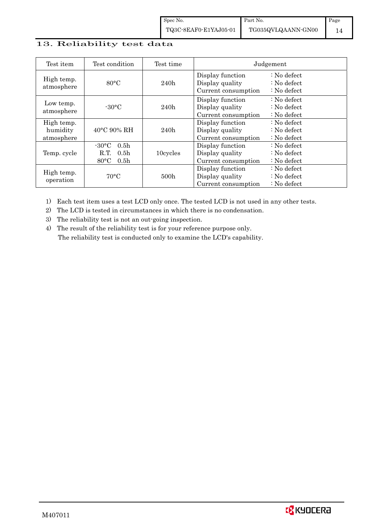### 13. Reliability test data

| Test item                            | Test condition                                                                                                    | Test time        | Judgement                                                  |                                                                            |  |
|--------------------------------------|-------------------------------------------------------------------------------------------------------------------|------------------|------------------------------------------------------------|----------------------------------------------------------------------------|--|
| High temp.<br>atmosphere             | $80^{\circ}$ C                                                                                                    | 240h             | Display function<br>Display quality<br>Current consumption | $\therefore$ No defect<br>$\therefore$ No defect<br>$\therefore$ No defect |  |
| Low temp.<br>atmosphere              | $-30$ °C                                                                                                          | 240h             | Display function<br>Display quality<br>Current consumption | $\therefore$ No defect<br>: No defect<br>$\therefore$ No defect            |  |
| High temp.<br>humidity<br>atmosphere | $40^{\circ}$ C 90% RH                                                                                             | 240h             | Display function<br>Display quality<br>Current consumption | : No defect<br>$\therefore$ No defect<br>$\therefore$ No defect            |  |
| Temp. cycle                          | $-30^{\circ}$ C<br>0.5 <sub>h</sub><br>0.5 <sub>h</sub><br>10cycles<br>R.T.<br>$80^{\circ}$ C<br>0.5 <sub>h</sub> |                  | Display function<br>Display quality<br>Current consumption | $\therefore$ No defect<br>$\therefore$ No defect<br>$\therefore$ No defect |  |
| High temp.<br>operation              | $70^{\circ}$ C                                                                                                    | 500 <sub>h</sub> | Display function<br>Display quality<br>Current consumption | : No defect<br>$\therefore$ No defect<br>$\therefore$ No defect            |  |

1) Each test item uses a test LCD only once. The tested LCD is not used in any other tests.

2) The LCD is tested in circumstances in which there is no condensation.

3) The reliability test is not an out-going inspection.

4) The result of the reliability test is for your reference purpose only. The reliability test is conducted only to examine the LCD's capability.

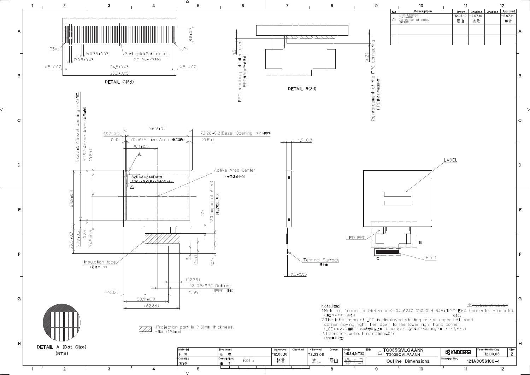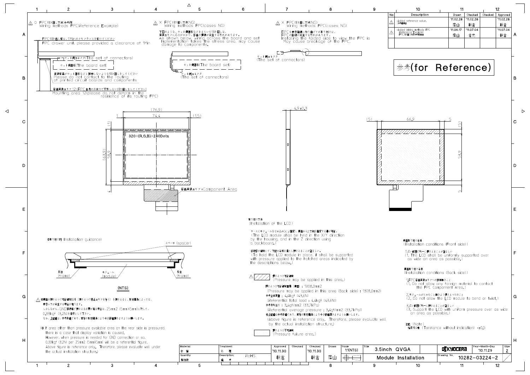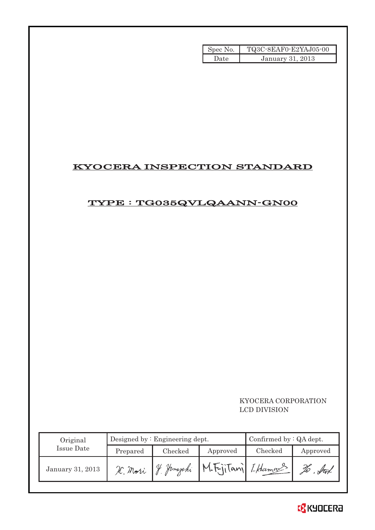| Spec No. | TQ3C-8EAF0-E2YAJ05-00 |
|----------|-----------------------|
| Date     | January 31, 2013      |

## KYOCERA INSPECTION STANDARD

# TYPE : TG035QVLQAANN-GN00

### KYOCERA CORPORATION LCD DIVISION

| Original         |          | Designed by $:$ Engineering dept. | Confirmed by $:QA$ dept. |         |          |
|------------------|----------|-----------------------------------|--------------------------|---------|----------|
| Issue Date       | Prepared | Checked<br>Approved               |                          | Checked | Approved |
| January 31, 2013 | H. Mori  | Hamazaki                          | M.Fritani LHamans        |         |          |

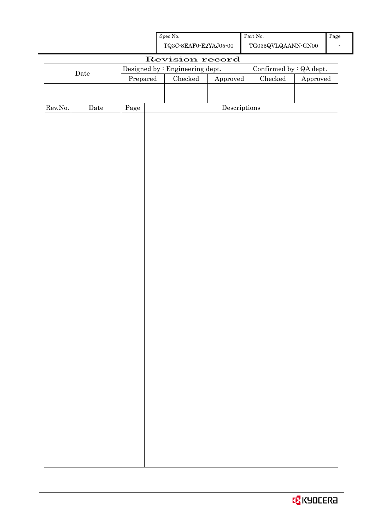| Spec No.              | Part No.           |  |  |  |  |
|-----------------------|--------------------|--|--|--|--|
| TQ3C-8EAF0-E2YAJ05-00 | TG035QVLQAANN-GN00 |  |  |  |  |

| Confirmed by : QA dept.<br>Designed by : Engineering dept.<br>$\rm{Date}$<br>$\rm Checked$<br>Checked<br>Prepared<br>${\Large\bf Approved}$<br>Approved<br>Rev.No.<br>Descriptions<br>Date<br>Page | Revision record |  |  |  |  |  |  |  |  |
|----------------------------------------------------------------------------------------------------------------------------------------------------------------------------------------------------|-----------------|--|--|--|--|--|--|--|--|
|                                                                                                                                                                                                    |                 |  |  |  |  |  |  |  |  |
|                                                                                                                                                                                                    |                 |  |  |  |  |  |  |  |  |
|                                                                                                                                                                                                    |                 |  |  |  |  |  |  |  |  |
|                                                                                                                                                                                                    |                 |  |  |  |  |  |  |  |  |
|                                                                                                                                                                                                    |                 |  |  |  |  |  |  |  |  |
|                                                                                                                                                                                                    |                 |  |  |  |  |  |  |  |  |
|                                                                                                                                                                                                    |                 |  |  |  |  |  |  |  |  |
|                                                                                                                                                                                                    |                 |  |  |  |  |  |  |  |  |
|                                                                                                                                                                                                    |                 |  |  |  |  |  |  |  |  |
|                                                                                                                                                                                                    |                 |  |  |  |  |  |  |  |  |
|                                                                                                                                                                                                    |                 |  |  |  |  |  |  |  |  |
|                                                                                                                                                                                                    |                 |  |  |  |  |  |  |  |  |
|                                                                                                                                                                                                    |                 |  |  |  |  |  |  |  |  |
|                                                                                                                                                                                                    |                 |  |  |  |  |  |  |  |  |
|                                                                                                                                                                                                    |                 |  |  |  |  |  |  |  |  |
|                                                                                                                                                                                                    |                 |  |  |  |  |  |  |  |  |
|                                                                                                                                                                                                    |                 |  |  |  |  |  |  |  |  |
|                                                                                                                                                                                                    |                 |  |  |  |  |  |  |  |  |
|                                                                                                                                                                                                    |                 |  |  |  |  |  |  |  |  |
|                                                                                                                                                                                                    |                 |  |  |  |  |  |  |  |  |
|                                                                                                                                                                                                    |                 |  |  |  |  |  |  |  |  |
|                                                                                                                                                                                                    |                 |  |  |  |  |  |  |  |  |
|                                                                                                                                                                                                    |                 |  |  |  |  |  |  |  |  |
|                                                                                                                                                                                                    |                 |  |  |  |  |  |  |  |  |
|                                                                                                                                                                                                    |                 |  |  |  |  |  |  |  |  |
|                                                                                                                                                                                                    |                 |  |  |  |  |  |  |  |  |
|                                                                                                                                                                                                    |                 |  |  |  |  |  |  |  |  |
|                                                                                                                                                                                                    |                 |  |  |  |  |  |  |  |  |
|                                                                                                                                                                                                    |                 |  |  |  |  |  |  |  |  |
|                                                                                                                                                                                                    |                 |  |  |  |  |  |  |  |  |
|                                                                                                                                                                                                    |                 |  |  |  |  |  |  |  |  |
|                                                                                                                                                                                                    |                 |  |  |  |  |  |  |  |  |
|                                                                                                                                                                                                    |                 |  |  |  |  |  |  |  |  |
|                                                                                                                                                                                                    |                 |  |  |  |  |  |  |  |  |
|                                                                                                                                                                                                    |                 |  |  |  |  |  |  |  |  |
|                                                                                                                                                                                                    |                 |  |  |  |  |  |  |  |  |
|                                                                                                                                                                                                    |                 |  |  |  |  |  |  |  |  |
|                                                                                                                                                                                                    |                 |  |  |  |  |  |  |  |  |
|                                                                                                                                                                                                    |                 |  |  |  |  |  |  |  |  |
|                                                                                                                                                                                                    |                 |  |  |  |  |  |  |  |  |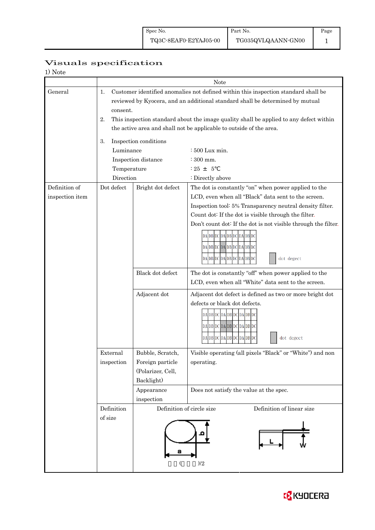### Page 1

# Visuals specification

| 1) Note |  |
|---------|--|
|---------|--|

|                 | Note                                                                                     |                                                                                        |                                                                |  |  |  |  |  |  |
|-----------------|------------------------------------------------------------------------------------------|----------------------------------------------------------------------------------------|----------------------------------------------------------------|--|--|--|--|--|--|
| General         | Customer identified anomalies not defined within this inspection standard shall be<br>1. |                                                                                        |                                                                |  |  |  |  |  |  |
|                 |                                                                                          | reviewed by Kyocera, and an additional standard shall be determined by mutual          |                                                                |  |  |  |  |  |  |
|                 |                                                                                          | consent.                                                                               |                                                                |  |  |  |  |  |  |
|                 | 2.                                                                                       | This inspection standard about the image quality shall be applied to any defect within |                                                                |  |  |  |  |  |  |
|                 |                                                                                          | the active area and shall not be applicable to outside of the area.                    |                                                                |  |  |  |  |  |  |
|                 | Inspection conditions<br>3.                                                              |                                                                                        |                                                                |  |  |  |  |  |  |
|                 | Luminance                                                                                | : 500 Lux min.                                                                         |                                                                |  |  |  |  |  |  |
|                 |                                                                                          | Inspection distance                                                                    | $\div$ 300 mm.                                                 |  |  |  |  |  |  |
|                 | Temperature                                                                              |                                                                                        | $: 25 + 5$                                                     |  |  |  |  |  |  |
|                 | Direction                                                                                |                                                                                        | : Directly above                                               |  |  |  |  |  |  |
| Definition of   | Dot defect                                                                               | Bright dot defect                                                                      | The dot is constantly "on" when power applied to the           |  |  |  |  |  |  |
| inspection item |                                                                                          |                                                                                        | LCD, even when all "Black" data sent to the screen.            |  |  |  |  |  |  |
|                 |                                                                                          |                                                                                        | Inspection tool: 5% Transparency neutral density filter.       |  |  |  |  |  |  |
|                 |                                                                                          |                                                                                        | Count dot: If the dot is visible through the filter.           |  |  |  |  |  |  |
|                 |                                                                                          |                                                                                        | Don't count dot: If the dot is not visible through the filter. |  |  |  |  |  |  |
|                 |                                                                                          |                                                                                        | DA DB DC DA DB DC DA DB DC                                     |  |  |  |  |  |  |
|                 |                                                                                          | DA DB DC DA DB DC DA DB DC                                                             |                                                                |  |  |  |  |  |  |
|                 |                                                                                          | DAIDBIDCIDAIDBIDCIDAIDBIDC                                                             |                                                                |  |  |  |  |  |  |
|                 |                                                                                          |                                                                                        | dot degect                                                     |  |  |  |  |  |  |
|                 |                                                                                          | Black dot defect                                                                       | The dot is constantly "off" when power applied to the          |  |  |  |  |  |  |
|                 |                                                                                          |                                                                                        | LCD, even when all "White" data sent to the screen.            |  |  |  |  |  |  |
|                 |                                                                                          | Adjacent dot                                                                           | Adjacent dot defect is defined as two or more bright dot       |  |  |  |  |  |  |
|                 |                                                                                          |                                                                                        | defects or black dot defects.                                  |  |  |  |  |  |  |
|                 |                                                                                          |                                                                                        | DA DB DC DA DB DC DA DB DC                                     |  |  |  |  |  |  |
|                 |                                                                                          |                                                                                        | DA DB DC DA DB DC DA DB DC                                     |  |  |  |  |  |  |
|                 |                                                                                          |                                                                                        | DA DB DC DA DB DC DA DB DC<br>dot degect                       |  |  |  |  |  |  |
|                 |                                                                                          |                                                                                        |                                                                |  |  |  |  |  |  |
|                 | External                                                                                 | Bubble, Scratch,                                                                       | Visible operating (all pixels "Black" or "White") and non      |  |  |  |  |  |  |
|                 | inspection                                                                               | Foreign particle                                                                       | operating.                                                     |  |  |  |  |  |  |
|                 |                                                                                          | (Polarizer, Cell,                                                                      |                                                                |  |  |  |  |  |  |
|                 |                                                                                          | Backlight)                                                                             |                                                                |  |  |  |  |  |  |
|                 |                                                                                          | Appearance                                                                             | Does not satisfy the value at the spec.                        |  |  |  |  |  |  |
|                 |                                                                                          | inspection                                                                             |                                                                |  |  |  |  |  |  |
|                 | Definition                                                                               | Definition of circle size                                                              | Definition of linear size                                      |  |  |  |  |  |  |
|                 | of size                                                                                  |                                                                                        |                                                                |  |  |  |  |  |  |
|                 |                                                                                          |                                                                                        |                                                                |  |  |  |  |  |  |
|                 |                                                                                          |                                                                                        |                                                                |  |  |  |  |  |  |
|                 |                                                                                          |                                                                                        |                                                                |  |  |  |  |  |  |
|                 |                                                                                          | (                                                                                      | )/2                                                            |  |  |  |  |  |  |
|                 |                                                                                          |                                                                                        |                                                                |  |  |  |  |  |  |